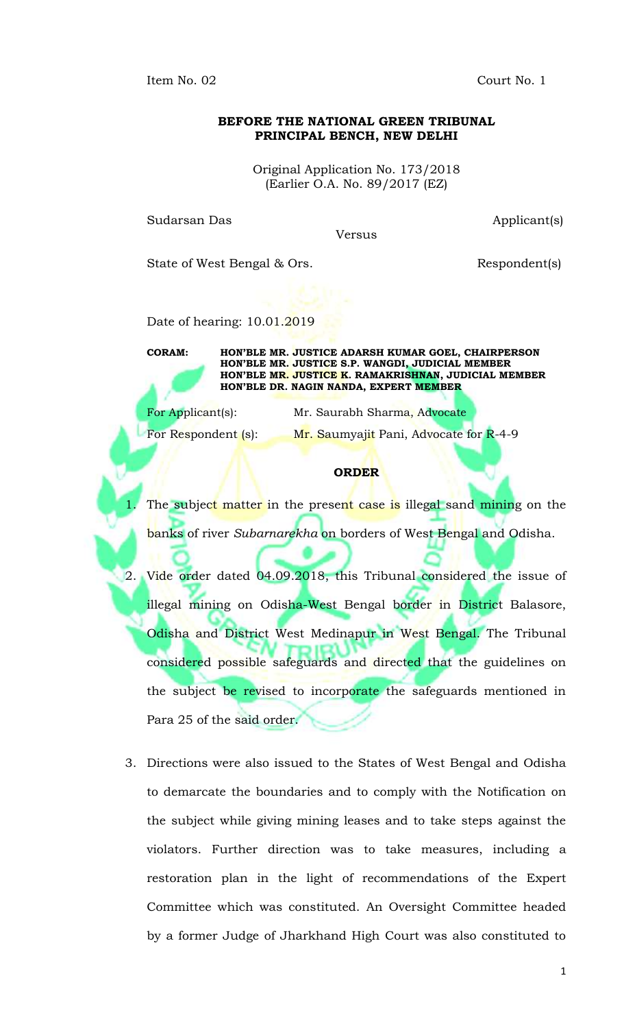Item No. 02 Court No. 1

## **BEFORE THE NATIONAL GREEN TRIBUNAL PRINCIPAL BENCH, NEW DELHI**

Original Application No. 173/2018 (Earlier O.A. No. 89/2017 (EZ)

Sudarsan Das **Applicant**(s)

Versus

State of West Bengal & Ors. Respondent(s)

Date of hearing: 10.01.2019

**CORAM: HON'BLE MR. JUSTICE ADARSH KUMAR GOEL, CHAIRPERSON HON'BLE MR. JUSTICE S.P. WANGDI, JUDICIAL MEMBER HON'BLE MR. JUSTICE K. RAMAKRISHNAN, JUDICIAL MEMBER HON'BLE DR. NAGIN NANDA, EXPERT MEMBER**

For Applicant(s): Mr. Saurabh Sharma, Advocate For Respondent (s): Mr. Saumyajit Pani, Advocate for R-4-9

## **ORDER**

The subject matter in the present case is illegal sand mining on the banks of river *Subarnarekha* on borders of West Bengal and Odisha.

2. Vide order dated 04.09.2018, this Tribunal considered the issue of illegal mining on Odisha-West Bengal border in District Balasore, Odisha and District West Medinapur in West Bengal. The Tribunal considered possible safeguards and directed that the guidelines on the subject be revised to incorporate the safeguards mentioned in Para 25 of the said order.

3. Directions were also issued to the States of West Bengal and Odisha to demarcate the boundaries and to comply with the Notification on the subject while giving mining leases and to take steps against the violators. Further direction was to take measures, including a restoration plan in the light of recommendations of the Expert Committee which was constituted. An Oversight Committee headed by a former Judge of Jharkhand High Court was also constituted to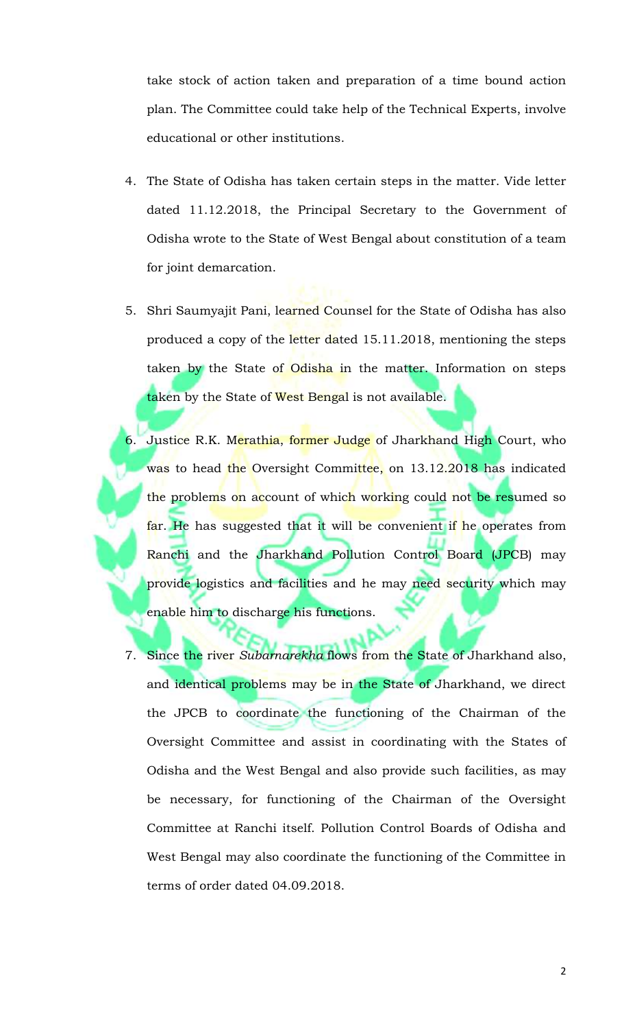take stock of action taken and preparation of a time bound action plan. The Committee could take help of the Technical Experts, involve educational or other institutions.

- 4. The State of Odisha has taken certain steps in the matter. Vide letter dated 11.12.2018, the Principal Secretary to the Government of Odisha wrote to the State of West Bengal about constitution of a team for joint demarcation.
- 5. Shri Saumyajit Pani, learned Counsel for the State of Odisha has also produced a copy of the letter dated 15.11.2018, mentioning the steps taken by the State of Odisha in the matter. Information on steps taken by the State of West Bengal is not available.
- 6. Justice R.K. Merathia, former Judge of Jharkhand High Court, who was to head the Oversight Committee, on 13.12.2018 has indicated the problems on account of which working could not be resumed so far. He has suggested that it will be convenient if he operates from Ranchi and the Jharkhand Pollution Control Board (JPCB) may provide logistics and facilities and he may need security which may enable him to discharge his functions.
- 7. Since the river *Subarnarekha* flows from the State of Jharkhand also, and identical problems may be in the State of Jharkhand, we direct the JPCB to coordinate the functioning of the Chairman of the Oversight Committee and assist in coordinating with the States of Odisha and the West Bengal and also provide such facilities, as may be necessary, for functioning of the Chairman of the Oversight Committee at Ranchi itself. Pollution Control Boards of Odisha and West Bengal may also coordinate the functioning of the Committee in terms of order dated 04.09.2018.